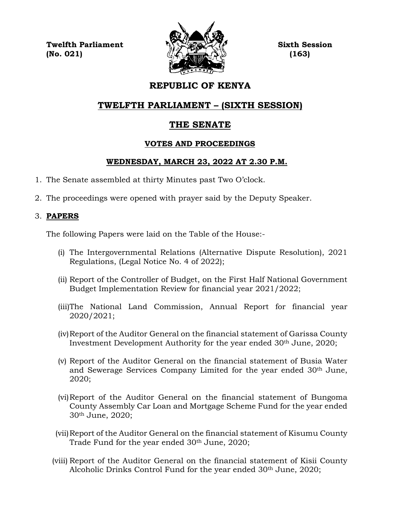**Twelfth Parliament Sixth Session**  $\langle \langle \mathcal{L} \rangle$  (No. 021) (163)



# **REPUBLIC OF KENYA**

# **TWELFTH PARLIAMENT – (SIXTH SESSION)**

# **THE SENATE**

## **VOTES AND PROCEEDINGS**

## **WEDNESDAY, MARCH 23, 2022 AT 2.30 P.M.**

- 1. The Senate assembled at thirty Minutes past Two O'clock.
- 2. The proceedings were opened with prayer said by the Deputy Speaker.

## 3. **PAPERS**

The following Papers were laid on the Table of the House:-

- (i) The Intergovernmental Relations (Alternative Dispute Resolution), 2021 Regulations, (Legal Notice No. 4 of 2022);
- (ii) Report of the Controller of Budget, on the First Half National Government Budget Implementation Review for financial year 2021/2022;
- (iii)The National Land Commission, Annual Report for financial year 2020/2021;
- (iv)Report of the Auditor General on the financial statement of Garissa County Investment Development Authority for the year ended 30th June, 2020;
- (v) Report of the Auditor General on the financial statement of Busia Water and Sewerage Services Company Limited for the year ended 30th June, 2020;
- (vi)Report of the Auditor General on the financial statement of Bungoma County Assembly Car Loan and Mortgage Scheme Fund for the year ended 30th June, 2020;
- (vii)Report of the Auditor General on the financial statement of Kisumu County Trade Fund for the year ended 30<sup>th</sup> June, 2020;
- (viii) Report of the Auditor General on the financial statement of Kisii County Alcoholic Drinks Control Fund for the year ended 30<sup>th</sup> June, 2020;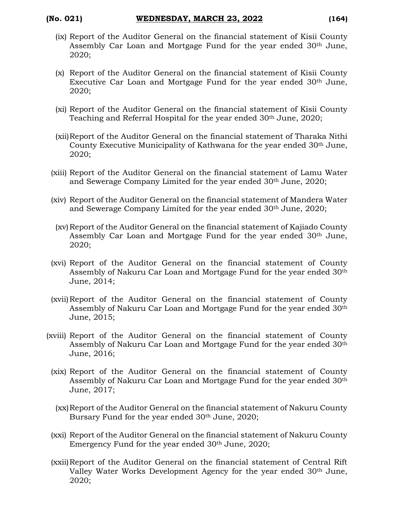- (ix) Report of the Auditor General on the financial statement of Kisii County Assembly Car Loan and Mortgage Fund for the year ended 30<sup>th</sup> June, 2020;
- (x) Report of the Auditor General on the financial statement of Kisii County Executive Car Loan and Mortgage Fund for the year ended 30th June, 2020;
- (xi) Report of the Auditor General on the financial statement of Kisii County Teaching and Referral Hospital for the year ended 30<sup>th</sup> June, 2020;
- (xii)Report of the Auditor General on the financial statement of Tharaka Nithi County Executive Municipality of Kathwana for the year ended 30th June, 2020;
- (xiii) Report of the Auditor General on the financial statement of Lamu Water and Sewerage Company Limited for the year ended 30th June, 2020;
- (xiv) Report of the Auditor General on the financial statement of Mandera Water and Sewerage Company Limited for the year ended 30th June, 2020;
- (xv)Report of the Auditor General on the financial statement of Kajiado County Assembly Car Loan and Mortgage Fund for the year ended 30th June, 2020;
- (xvi) Report of the Auditor General on the financial statement of County Assembly of Nakuru Car Loan and Mortgage Fund for the year ended 30<sup>th</sup> June, 2014;
- (xvii)Report of the Auditor General on the financial statement of County Assembly of Nakuru Car Loan and Mortgage Fund for the year ended 30th June, 2015;
- (xviii) Report of the Auditor General on the financial statement of County Assembly of Nakuru Car Loan and Mortgage Fund for the year ended 30th June, 2016;
	- (xix) Report of the Auditor General on the financial statement of County Assembly of Nakuru Car Loan and Mortgage Fund for the year ended 30<sup>th</sup> June, 2017;
	- (xx)Report of the Auditor General on the financial statement of Nakuru County Bursary Fund for the year ended 30th June, 2020;
	- (xxi) Report of the Auditor General on the financial statement of Nakuru County Emergency Fund for the year ended 30th June, 2020;
	- (xxii)Report of the Auditor General on the financial statement of Central Rift Valley Water Works Development Agency for the year ended 30th June, 2020;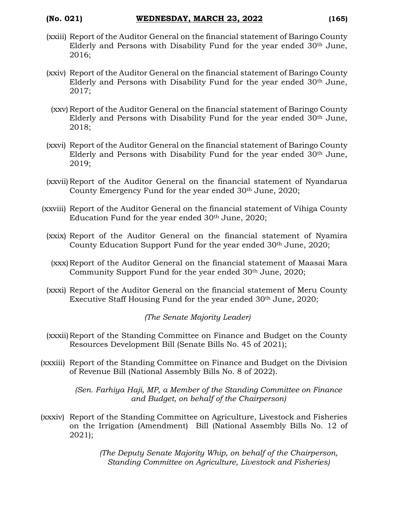- (xxiii) Report of the Auditor General on the financial statement of Baringo County Elderly and Persons with Disability Fund for the year ended 30th June, 2016;
- (xxiv) Report of the Auditor General on the financial statement of Baringo County Elderly and Persons with Disability Fund for the year ended 30th June, 2017;
	- (xxv) Report of the Auditor General on the financial statement of Baringo County Elderly and Persons with Disability Fund for the year ended 30th June, 2018;
- (xxvi) Report of the Auditor General on the financial statement of Baringo County Elderly and Persons with Disability Fund for the year ended 30th June, 2019;
- (xxvii) Report of the Auditor General on the financial statement of Nyandarua County Emergency Fund for the year ended 30<sup>th</sup> June, 2020;
- (xxviii) Report of the Auditor General on the financial statement of Vihiga County Education Fund for the year ended 30th June, 2020;
	- (xxix) Report of the Auditor General on the financial statement of Nyamira County Education Support Fund for the year ended 30<sup>th</sup> June, 2020;
	- (xxx) Report of the Auditor General on the financial statement of Maasai Mara Community Support Fund for the year ended 30<sup>th</sup> June, 2020;
	- (xxxi) Report of the Auditor General on the financial statement of Meru County Executive Staff Housing Fund for the year ended 30<sup>th</sup> June, 2020;

*(The Senate Majority Leader)*

- (xxxii)Report of the Standing Committee on Finance and Budget on the County Resources Development Bill (Senate Bills No. 45 of 2021);
- (xxxiii) Report of the Standing Committee on Finance and Budget on the Division of Revenue Bill (National Assembly Bills No. 8 of 2022).

*(Sen. Farhiya Haji, MP, a Member of the Standing Committee on Finance and Budget, on behalf of the Chairperson)*

(xxxiv) Report of the Standing Committee on Agriculture, Livestock and Fisheries on the Irrigation (Amendment) Bill (National Assembly Bills No. 12 of 2021);

> *(The Deputy Senate Majority Whip, on behalf of the Chairperson, Standing Committee on Agriculture, Livestock and Fisheries)*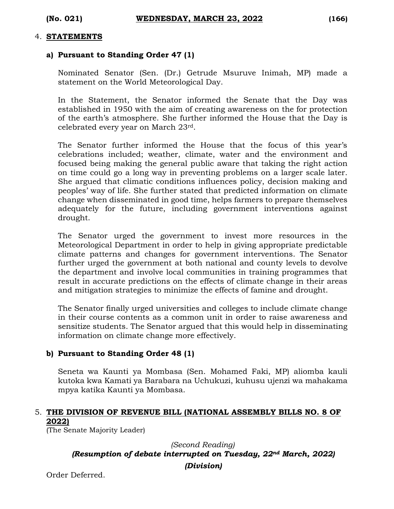#### 4. **STATEMENTS**

#### **a) Pursuant to Standing Order 47 (1)**

Nominated Senator (Sen. (Dr.) Getrude Msuruve Inimah, MP) made a statement on the World Meteorological Day.

In the Statement, the Senator informed the Senate that the Day was established in 1950 with the aim of creating awareness on the for protection of the earth's atmosphere. She further informed the House that the Day is celebrated every year on March 23rd.

The Senator further informed the House that the focus of this year's celebrations included; weather, climate, water and the environment and focused being making the general public aware that taking the right action on time could go a long way in preventing problems on a larger scale later. She argued that climatic conditions influences policy, decision making and peoples' way of life. She further stated that predicted information on climate change when disseminated in good time, helps farmers to prepare themselves adequately for the future, including government interventions against drought.

The Senator urged the government to invest more resources in the Meteorological Department in order to help in giving appropriate predictable climate patterns and changes for government interventions. The Senator further urged the government at both national and county levels to devolve the department and involve local communities in training programmes that result in accurate predictions on the effects of climate change in their areas and mitigation strategies to minimize the effects of famine and drought.

The Senator finally urged universities and colleges to include climate change in their course contents as a common unit in order to raise awareness and sensitize students. The Senator argued that this would help in disseminating information on climate change more effectively.

#### **b) Pursuant to Standing Order 48 (1)**

Seneta wa Kaunti ya Mombasa (Sen. Mohamed Faki, MP) aliomba kauli kutoka kwa Kamati ya Barabara na Uchukuzi, kuhusu ujenzi wa mahakama mpya katika Kaunti ya Mombasa.

## 5. **THE DIVISION OF REVENUE BILL (NATIONAL ASSEMBLY BILLS NO. 8 OF 2022)**

(The Senate Majority Leader)

#### *(Second Reading) (Resumption of debate interrupted on Tuesday, 22nd March, 2022)*

*(Division)*

Order Deferred.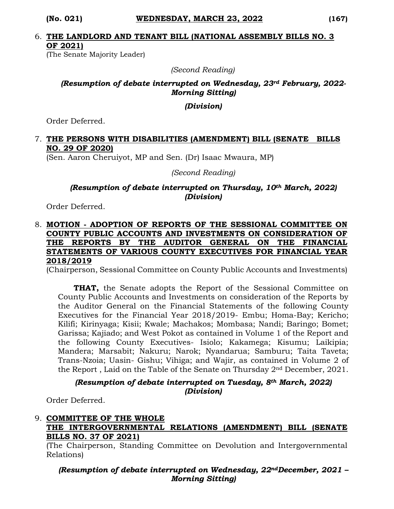#### 6. **THE LANDLORD AND TENANT BILL (NATIONAL ASSEMBLY BILLS NO. 3 OF 2021)**

(The Senate Majority Leader)

*(Second Reading)*

### *(Resumption of debate interrupted on Wednesday, 23rd February, 2022- Morning Sitting)*

*(Division)*

Order Deferred.

## 7. **THE PERSONS WITH DISABILITIES (AMENDMENT) BILL (SENATE BILLS NO. 29 OF 2020)**

(Sen. Aaron Cheruiyot, MP and Sen. (Dr) Isaac Mwaura, MP)

*(Second Reading)*

*(Resumption of debate interrupted on Thursday, 10th March, 2022) (Division)*

Order Deferred.

### 8. **MOTION - ADOPTION OF REPORTS OF THE SESSIONAL COMMITTEE ON COUNTY PUBLIC ACCOUNTS AND INVESTMENTS ON CONSIDERATION OF THE REPORTS BY THE AUDITOR GENERAL ON THE FINANCIAL STATEMENTS OF VARIOUS COUNTY EXECUTIVES FOR FINANCIAL YEAR 2018/2019**

(Chairperson, Sessional Committee on County Public Accounts and Investments)

**THAT,** the Senate adopts the Report of the Sessional Committee on County Public Accounts and Investments on consideration of the Reports by the Auditor General on the Financial Statements of the following County Executives for the Financial Year 2018/2019- Embu; Homa-Bay; Kericho; Kilifi; Kirinyaga; Kisii; Kwale; Machakos; Mombasa; Nandi; Baringo; Bomet; Garissa; Kajiado; and West Pokot as contained in Volume 1 of the Report and the following County Executives- Isiolo; Kakamega; Kisumu; Laikipia; Mandera; Marsabit; Nakuru; Narok; Nyandarua; Samburu; Taita Taveta; Trans-Nzoia; Uasin- Gishu; Vihiga; and Wajir, as contained in Volume 2 of the Report , Laid on the Table of the Senate on Thursday 2nd December, 2021.

#### *(Resumption of debate interrupted on Tuesday, 8th March, 2022) (Division)*

Order Deferred.

### 9. **COMMITTEE OF THE WHOLE THE INTERGOVERNMENTAL RELATIONS (AMENDMENT) BILL (SENATE BILLS NO. 37 OF 2021)**

(The Chairperson, Standing Committee on Devolution and Intergovernmental Relations)

## *(Resumption of debate interrupted on Wednesday, 22ndDecember, 2021 – Morning Sitting)*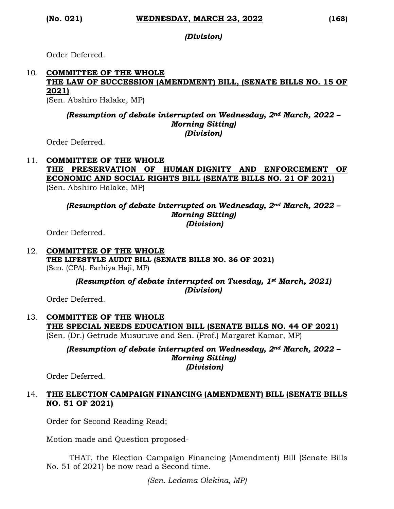*(Division)*

Order Deferred.

## 10. **COMMITTEE OF THE WHOLE THE LAW OF SUCCESSION (AMENDMENT) BILL, (SENATE BILLS NO. 15 OF 2021)**

(Sen. Abshiro Halake, MP)

### *(Resumption of debate interrupted on Wednesday, 2nd March, 2022 – Morning Sitting) (Division)*

Order Deferred.

#### 11. **COMMITTEE OF THE WHOLE THE PRESERVATION OF HUMAN DIGNITY AND ENFORCEMENT OF ECONOMIC AND SOCIAL RIGHTS BILL (SENATE BILLS NO. 21 OF 2021)** (Sen. Abshiro Halake, MP)

*(Resumption of debate interrupted on Wednesday, 2nd March, 2022 – Morning Sitting) (Division)*

Order Deferred.

#### 12. **COMMITTEE OF THE WHOLE THE LIFESTYLE AUDIT BILL (SENATE BILLS NO. 36 OF 2021)**  (Sen. (CPA). Farhiya Haji, MP)

## *(Resumption of debate interrupted on Tuesday, 1st March, 2021) (Division)*

Order Deferred.

#### 13. **COMMITTEE OF THE WHOLE THE SPECIAL NEEDS EDUCATION BILL (SENATE BILLS NO. 44 OF 2021)**  (Sen. (Dr.) Getrude Musuruve and Sen. (Prof.) Margaret Kamar, MP)

*(Resumption of debate interrupted on Wednesday, 2nd March, 2022 –*

*Morning Sitting) (Division)*

Order Deferred.

### 14. **THE ELECTION CAMPAIGN FINANCING (AMENDMENT) BILL (SENATE BILLS NO. 51 OF 2021)**

Order for Second Reading Read;

Motion made and Question proposed-

THAT, the Election Campaign Financing (Amendment) Bill (Senate Bills No. 51 of 2021) be now read a Second time.

*(Sen. Ledama Olekina, MP)*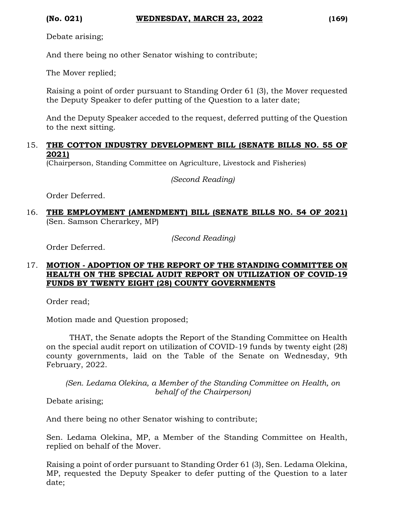Debate arising;

And there being no other Senator wishing to contribute;

The Mover replied;

Raising a point of order pursuant to Standing Order 61 (3), the Mover requested the Deputy Speaker to defer putting of the Question to a later date;

And the Deputy Speaker acceded to the request, deferred putting of the Question to the next sitting.

#### 15. **THE COTTON INDUSTRY DEVELOPMENT BILL (SENATE BILLS NO. 55 OF 2021)**

(Chairperson, Standing Committee on Agriculture, Livestock and Fisheries)

*(Second Reading)*

Order Deferred.

16. **THE EMPLOYMENT (AMENDMENT) BILL (SENATE BILLS NO. 54 OF 2021)** (Sen. Samson Cherarkey, MP)

*(Second Reading)*

Order Deferred.

### 17. **MOTION - ADOPTION OF THE REPORT OF THE STANDING COMMITTEE ON HEALTH ON THE SPECIAL AUDIT REPORT ON UTILIZATION OF COVID-19 FUNDS BY TWENTY EIGHT (28) COUNTY GOVERNMENTS**

Order read;

Motion made and Question proposed;

THAT, the Senate adopts the Report of the Standing Committee on Health on the special audit report on utilization of COVID-19 funds by twenty eight (28) county governments, laid on the Table of the Senate on Wednesday, 9th February, 2022.

*(Sen. Ledama Olekina, a Member of the Standing Committee on Health, on behalf of the Chairperson)*

Debate arising;

And there being no other Senator wishing to contribute;

Sen. Ledama Olekina, MP, a Member of the Standing Committee on Health, replied on behalf of the Mover.

Raising a point of order pursuant to Standing Order 61 (3), Sen. Ledama Olekina, MP, requested the Deputy Speaker to defer putting of the Question to a later date;